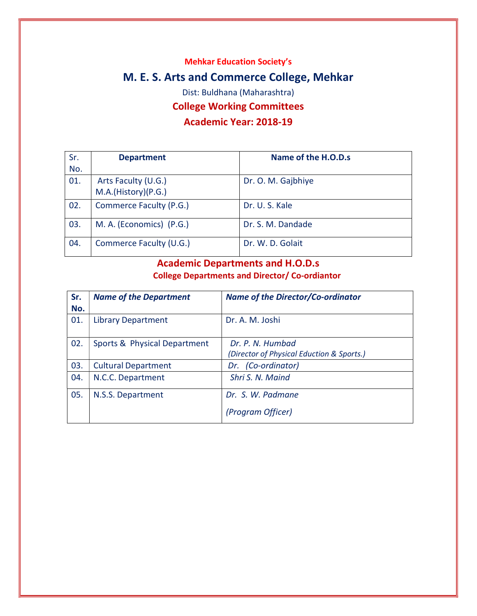Mehkar Education Society's

# M. E. S. Arts and Commerce College, Mehkar

Dist: Buldhana (Maharashtra)

### College Working Committees

### Academic Year: 2018-19

| Sr. | <b>Department</b>        | Name of the H.O.D.s |
|-----|--------------------------|---------------------|
| No. |                          |                     |
| 01. | Arts Faculty (U.G.)      | Dr. O. M. Gajbhiye  |
|     | M.A.(History)(P.G.)      |                     |
| 02. | Commerce Faculty (P.G.)  | Dr. U. S. Kale      |
| 03. | M. A. (Economics) (P.G.) | Dr. S. M. Dandade   |
| 04. | Commerce Faculty (U.G.)  | Dr. W. D. Golait    |

# Academic Departments and H.O.D.s College Departments and Director/ Co-ordiantor

| <b>Name of the Department</b> | <b>Name of the Director/Co-ordinator</b>                      |
|-------------------------------|---------------------------------------------------------------|
| <b>Library Department</b>     | Dr. A. M. Joshi                                               |
| Sports & Physical Department  | Dr. P. N. Humbad<br>(Director of Physical Eduction & Sports.) |
| <b>Cultural Department</b>    | Dr. (Co-ordinator)                                            |
| N.C.C. Department             | Shri S. N. Maind                                              |
| N.S.S. Department             | Dr. S. W. Padmane<br>(Program Officer)                        |
|                               |                                                               |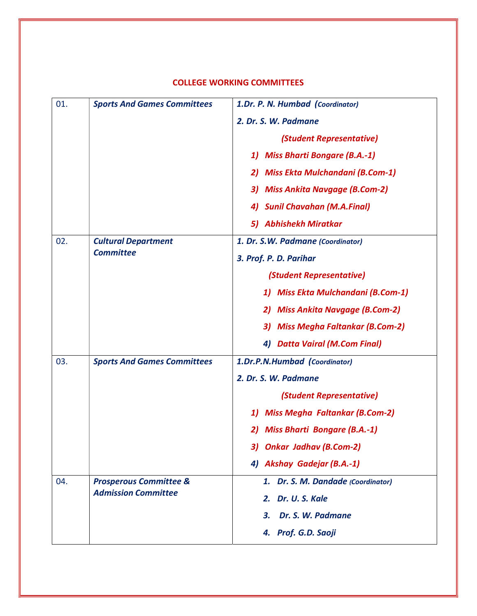| 01. | <b>Sports And Games Committees</b>                              | 1.Dr. P. N. Humbad (Coordinator)            |
|-----|-----------------------------------------------------------------|---------------------------------------------|
|     |                                                                 | 2. Dr. S. W. Padmane                        |
|     |                                                                 | (Student Representative)                    |
|     |                                                                 | <b>Miss Bharti Bongare (B.A.-1)</b><br>1)   |
|     |                                                                 | 2) Miss Ekta Mulchandani (B.Com-1)          |
|     |                                                                 | 3) Miss Ankita Navgage (B.Com-2)            |
|     |                                                                 | 4) Sunil Chavahan (M.A.Final)               |
|     |                                                                 | 5) Abhishekh Miratkar                       |
| 02. | <b>Cultural Department</b>                                      | 1. Dr. S.W. Padmane (Coordinator)           |
|     | <b>Committee</b>                                                | 3. Prof. P. D. Parihar                      |
|     |                                                                 | (Student Representative)                    |
|     |                                                                 | 1) Miss Ekta Mulchandani (B.Com-1)          |
|     |                                                                 | 2) Miss Ankita Navgage (B.Com-2)            |
|     |                                                                 | 3) Miss Megha Faltankar (B.Com-2)           |
|     |                                                                 | 4) Datta Vairal (M.Com Final)               |
| 03. | <b>Sports And Games Committees</b>                              | 1.Dr.P.N.Humbad (Coordinator)               |
|     |                                                                 | 2. Dr. S. W. Padmane                        |
|     |                                                                 | (Student Representative)                    |
|     |                                                                 | <b>Miss Megha Faltankar (B.Com-2)</b><br>1) |
|     |                                                                 | 2) Miss Bharti Bongare (B.A.-1)             |
|     |                                                                 | 3) Onkar Jadhav (B.Com-2)                   |
|     |                                                                 | 4) Akshay Gadejar (B.A.-1)                  |
| 04. | <b>Prosperous Committee &amp;</b><br><b>Admission Committee</b> | 1. Dr. S. M. Dandade (Coordinator)          |
|     |                                                                 | 2. Dr. U. S. Kale                           |
|     |                                                                 | Dr. S. W. Padmane<br>3.                     |
|     |                                                                 | 4. Prof. G.D. Saoji                         |

### COLLEGE WORKING COMMITTEES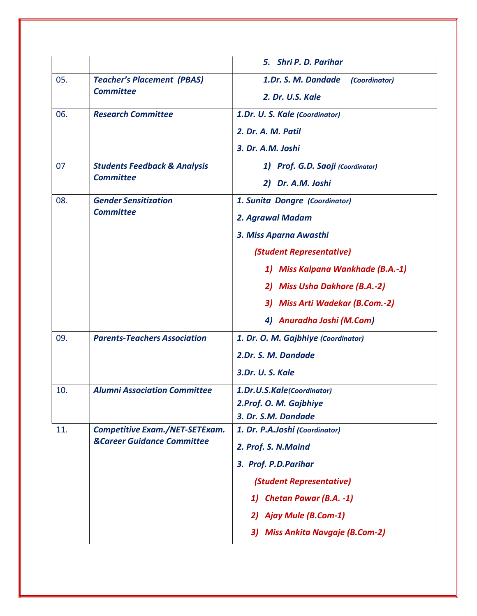|     |                                                             | 5. Shri P. D. Parihar                                         |
|-----|-------------------------------------------------------------|---------------------------------------------------------------|
| 05. | <b>Teacher's Placement (PBAS)</b><br><b>Committee</b>       | 1.Dr. S. M. Dandade<br>(Coordinator)<br>2. Dr. U.S. Kale      |
| 06. | <b>Research Committee</b>                                   | 1.Dr. U. S. Kale (Coordinator)<br>2. Dr. A. M. Patil          |
|     |                                                             | 3. Dr. A.M. Joshi                                             |
| 07  | <b>Students Feedback &amp; Analysis</b><br><b>Committee</b> | 1) Prof. G.D. Saoji (Coordinator)<br>2) Dr. A.M. Joshi        |
| 08. | <b>Gender Sensitization</b><br><b>Committee</b>             | 1. Sunita Dongre (Coordinator)<br>2. Agrawal Madam            |
|     |                                                             | 3. Miss Aparna Awasthi                                        |
|     |                                                             | (Student Representative)<br>1) Miss Kalpana Wankhade (B.A.-1) |
|     |                                                             | 2) Miss Usha Dakhore (B.A.-2)                                 |
|     |                                                             | 3) Miss Arti Wadekar (B.Com.-2)                               |
|     |                                                             | 4) Anuradha Joshi (M.Com)                                     |
| 09. | <b>Parents-Teachers Association</b>                         | 1. Dr. O. M. Gajbhiye (Coordinator)                           |
|     |                                                             | 2.Dr. S. M. Dandade                                           |
|     |                                                             | 3.Dr. U.S. Kale                                               |
| 10. | <b>Alumni Association Committee</b>                         | 1.Dr.U.S.Kale(Coordinator)                                    |
|     |                                                             | 2.Prof. O. M. Gajbhiye                                        |
| 11. | <b>Competitive Exam./NET-SETExam.</b>                       | 3. Dr. S.M. Dandade<br>1. Dr. P.A.Joshi (Coordinator)         |
|     | <b>&amp;Career Guidance Committee</b>                       | 2. Prof. S. N. Maind                                          |
|     |                                                             | 3. Prof. P.D.Parihar                                          |
|     |                                                             | (Student Representative)                                      |
|     |                                                             | 1) Chetan Pawar (B.A. -1)                                     |
|     |                                                             | 2) Ajay Mule (B.Com-1)                                        |
|     |                                                             | 3) Miss Ankita Navgaje (B.Com-2)                              |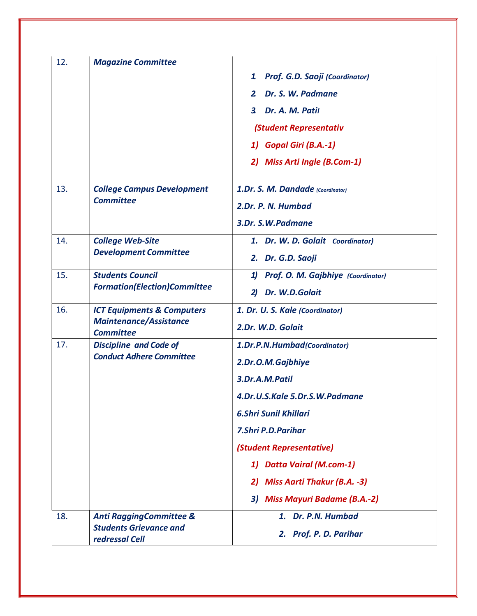| 12. | <b>Magazine Committee</b>                                                                  |                                          |
|-----|--------------------------------------------------------------------------------------------|------------------------------------------|
|     |                                                                                            | 1<br>Prof. G.D. Saoji (Coordinator)      |
|     |                                                                                            | Dr. S. W. Padmane<br>2                   |
|     |                                                                                            | Dr. A. M. Patil<br>$\mathbf{3}$          |
|     |                                                                                            | (Student Representativ                   |
|     |                                                                                            | 1) Gopal Giri (B.A.-1)                   |
|     |                                                                                            | 2) Miss Arti Ingle (B.Com-1)             |
| 13. | <b>College Campus Development</b>                                                          | 1.Dr. S. M. Dandade (Coordinator)        |
|     | <b>Committee</b>                                                                           | 2.Dr. P. N. Humbad                       |
|     |                                                                                            | 3.Dr. S.W.Padmane                        |
| 14. | <b>College Web-Site</b><br><b>Development Committee</b>                                    | 1. Dr. W. D. Golait Coordinator)         |
|     |                                                                                            | 2. Dr. G.D. Saoji                        |
| 15. | <b>Students Council</b><br><b>Formation(Election)Committee</b>                             | Prof. O. M. Gajbhiye (Coordinator)<br>1) |
|     |                                                                                            | Dr. W.D.Golait<br>$\mathbf{2}$           |
| 16. | <b>ICT Equipments &amp; Computers</b><br><b>Maintenance/Assistance</b><br><b>Committee</b> | 1. Dr. U. S. Kale (Coordinator)          |
|     |                                                                                            | 2.Dr. W.D. Golait                        |
| 17. | <b>Discipline and Code of</b>                                                              | 1.Dr.P.N.Humbad(Coordinator)             |
|     | <b>Conduct Adhere Committee</b>                                                            | 2.Dr.O.M.Gajbhiye                        |
|     |                                                                                            | 3.Dr.A.M.Patil                           |
|     |                                                                                            | 4.Dr.U.S.Kale 5.Dr.S.W.Padmane           |
|     |                                                                                            | <b>6.Shri Sunil Khillari</b>             |
|     |                                                                                            | <b>7.Shri P.D.Parihar</b>                |
|     |                                                                                            | (Student Representative)                 |
|     |                                                                                            | <b>Datta Vairal (M.com-1)</b><br>11      |
|     |                                                                                            | 2) Miss Aarti Thakur (B.A. -3)           |
|     |                                                                                            | <b>Miss Mayuri Badame (B.A.-2)</b><br>3) |
| 18. | <b>Anti RaggingCommittee &amp;</b>                                                         | 1. Dr. P.N. Humbad                       |
|     | <b>Students Grievance and</b><br>redressal Cell                                            | 2. Prof. P. D. Parihar                   |